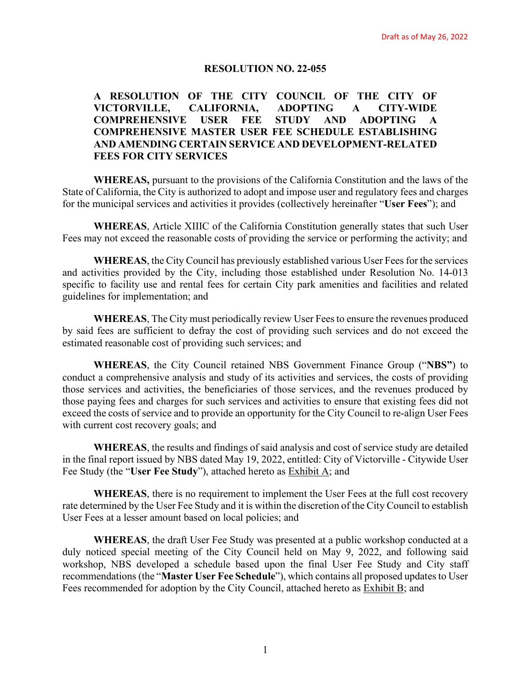### **RESOLUTION NO. 22-055**

# **A RESOLUTION OF THE CITY COUNCIL OF THE CITY OF VICTORVILLE, CALIFORNIA, ADOPTING A CITY-WIDE COMPREHENSIVE USER FEE STUDY AND ADOPTING A COMPREHENSIVE MASTER USER FEE SCHEDULE ESTABLISHING AND AMENDING CERTAIN SERVICE AND DEVELOPMENT-RELATED FEES FOR CITY SERVICES**

**WHEREAS,** pursuant to the provisions of the California Constitution and the laws of the State of California, the City is authorized to adopt and impose user and regulatory fees and charges for the municipal services and activities it provides (collectively hereinafter "**User Fees**"); and

**WHEREAS**, Article XIIIC of the California Constitution generally states that such User Fees may not exceed the reasonable costs of providing the service or performing the activity; and

**WHEREAS**, the City Council has previously established various User Fees for the services and activities provided by the City, including those established under Resolution No. 14-013 specific to facility use and rental fees for certain City park amenities and facilities and related guidelines for implementation; and

**WHEREAS**, The City must periodically review User Fees to ensure the revenues produced by said fees are sufficient to defray the cost of providing such services and do not exceed the estimated reasonable cost of providing such services; and

**WHEREAS**, the City Council retained NBS Government Finance Group ("**NBS"**) to conduct a comprehensive analysis and study of its activities and services, the costs of providing those services and activities, the beneficiaries of those services, and the revenues produced by those paying fees and charges for such services and activities to ensure that existing fees did not exceed the costs of service and to provide an opportunity for the City Council to re-align User Fees with current cost recovery goals; and

**WHEREAS**, the results and findings of said analysis and cost of service study are detailed in the final report issued by NBS dated May 19, 2022, entitled: City of Victorville - Citywide User Fee Study (the "**User Fee Study**"), attached hereto as Exhibit A; and

**WHEREAS**, there is no requirement to implement the User Fees at the full cost recovery rate determined by the User Fee Study and it is within the discretion of the City Council to establish User Fees at a lesser amount based on local policies; and

**WHEREAS**, the draft User Fee Study was presented at a public workshop conducted at a duly noticed special meeting of the City Council held on May 9, 2022, and following said workshop, NBS developed a schedule based upon the final User Fee Study and City staff recommendations (the "**Master User Fee Schedule**"), which contains all proposed updates to User Fees recommended for adoption by the City Council, attached hereto as Exhibit B; and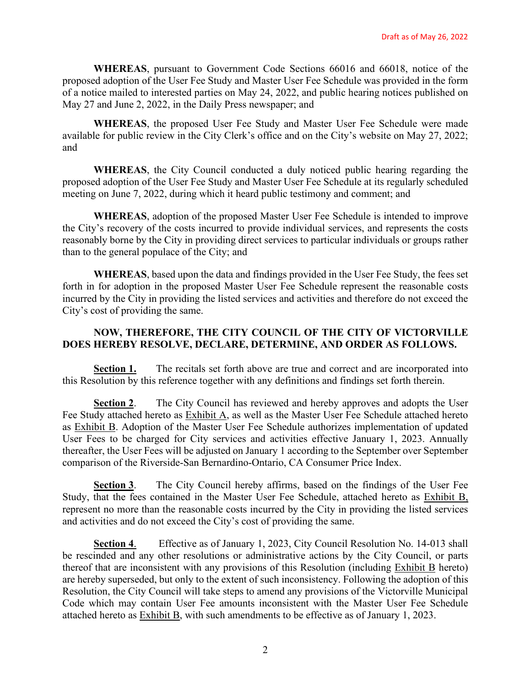**WHEREAS**, pursuant to Government Code Sections 66016 and 66018, notice of the proposed adoption of the User Fee Study and Master User Fee Schedule was provided in the form of a notice mailed to interested parties on May 24, 2022, and public hearing notices published on May 27 and June 2, 2022, in the Daily Press newspaper; and

**WHEREAS**, the proposed User Fee Study and Master User Fee Schedule were made available for public review in the City Clerk's office and on the City's website on May 27, 2022; and

**WHEREAS**, the City Council conducted a duly noticed public hearing regarding the proposed adoption of the User Fee Study and Master User Fee Schedule at its regularly scheduled meeting on June 7, 2022, during which it heard public testimony and comment; and

**WHEREAS**, adoption of the proposed Master User Fee Schedule is intended to improve the City's recovery of the costs incurred to provide individual services, and represents the costs reasonably borne by the City in providing direct services to particular individuals or groups rather than to the general populace of the City; and

**WHEREAS**, based upon the data and findings provided in the User Fee Study, the fees set forth in for adoption in the proposed Master User Fee Schedule represent the reasonable costs incurred by the City in providing the listed services and activities and therefore do not exceed the City's cost of providing the same.

# **NOW, THEREFORE, THE CITY COUNCIL OF THE CITY OF VICTORVILLE DOES HEREBY RESOLVE, DECLARE, DETERMINE, AND ORDER AS FOLLOWS.**

**Section 1.** The recitals set forth above are true and correct and are incorporated into this Resolution by this reference together with any definitions and findings set forth therein.

**Section 2**. The City Council has reviewed and hereby approves and adopts the User Fee Study attached hereto as Exhibit A, as well as the Master User Fee Schedule attached hereto as Exhibit B. Adoption of the Master User Fee Schedule authorizes implementation of updated User Fees to be charged for City services and activities effective January 1, 2023. Annually thereafter, the User Fees will be adjusted on January 1 according to the September over September comparison of the Riverside-San Bernardino-Ontario, CA Consumer Price Index.

**Section 3**. The City Council hereby affirms, based on the findings of the User Fee Study, that the fees contained in the Master User Fee Schedule, attached hereto as Exhibit B, represent no more than the reasonable costs incurred by the City in providing the listed services and activities and do not exceed the City's cost of providing the same.

**Section 4**. Effective as of January 1, 2023, City Council Resolution No. 14-013 shall be rescinded and any other resolutions or administrative actions by the City Council, or parts thereof that are inconsistent with any provisions of this Resolution (including Exhibit B hereto) are hereby superseded, but only to the extent of such inconsistency. Following the adoption of this Resolution, the City Council will take steps to amend any provisions of the Victorville Municipal Code which may contain User Fee amounts inconsistent with the Master User Fee Schedule attached hereto as Exhibit B, with such amendments to be effective as of January 1, 2023.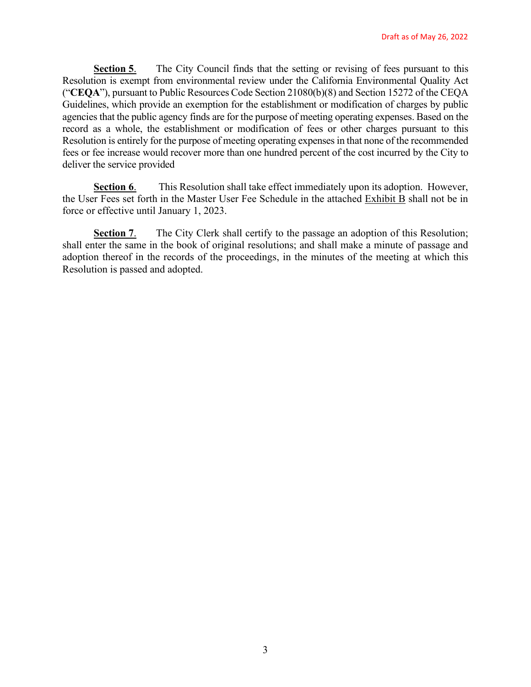**Section 5.** The City Council finds that the setting or revising of fees pursuant to this Resolution is exempt from environmental review under the California Environmental Quality Act ("**CEQA**"), pursuant to Public Resources Code Section 21080(b)(8) and Section 15272 of the CEQA Guidelines, which provide an exemption for the establishment or modification of charges by public agencies that the public agency finds are for the purpose of meeting operating expenses. Based on the record as a whole, the establishment or modification of fees or other charges pursuant to this Resolution is entirely for the purpose of meeting operating expenses in that none of the recommended fees or fee increase would recover more than one hundred percent of the cost incurred by the City to deliver the service provided

**Section 6.** This Resolution shall take effect immediately upon its adoption. However, the User Fees set forth in the Master User Fee Schedule in the attached Exhibit B shall not be in force or effective until January 1, 2023.

**Section 7.** The City Clerk shall certify to the passage an adoption of this Resolution; shall enter the same in the book of original resolutions; and shall make a minute of passage and adoption thereof in the records of the proceedings, in the minutes of the meeting at which this Resolution is passed and adopted.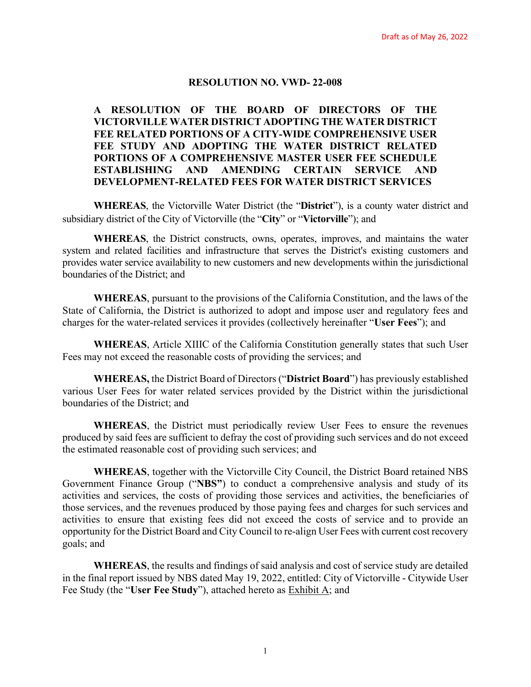#### **RESOLUTION NO. VWD- 22-008**

**A RESOLUTION OF THE BOARD OF DIRECTORS OF THE VICTORVILLE WATER DISTRICT ADOPTING THE WATER DISTRICT FEE RELATED PORTIONS OF A CITY-WIDE COMPREHENSIVE USER FEE STUDY AND ADOPTING THE WATER DISTRICT RELATED PORTIONS OF A COMPREHENSIVE MASTER USER FEE SCHEDULE ESTABLISHING AND AMENDING CERTAIN SERVICE AND DEVELOPMENT-RELATED FEES FOR WATER DISTRICT SERVICES**

**WHEREAS**, the Victorville Water District (the "**District**"), is a county water district and subsidiary district of the City of Victorville (the "**City**" or "**Victorville**"); and

**WHEREAS**, the District constructs, owns, operates, improves, and maintains the water system and related facilities and infrastructure that serves the District's existing customers and provides water service availability to new customers and new developments within the jurisdictional boundaries of the District; and

**WHEREAS**, pursuant to the provisions of the California Constitution, and the laws of the State of California, the District is authorized to adopt and impose user and regulatory fees and charges for the water-related services it provides (collectively hereinafter "**User Fees**"); and

**WHEREAS**, Article XIIIC of the California Constitution generally states that such User Fees may not exceed the reasonable costs of providing the services; and

**WHEREAS,** the District Board of Directors ("**District Board**") has previously established various User Fees for water related services provided by the District within the jurisdictional boundaries of the District; and

**WHEREAS**, the District must periodically review User Fees to ensure the revenues produced by said fees are sufficient to defray the cost of providing such services and do not exceed the estimated reasonable cost of providing such services; and

**WHEREAS**, together with the Victorville City Council, the District Board retained NBS Government Finance Group ("**NBS"**) to conduct a comprehensive analysis and study of its activities and services, the costs of providing those services and activities, the beneficiaries of those services, and the revenues produced by those paying fees and charges for such services and activities to ensure that existing fees did not exceed the costs of service and to provide an opportunity for the District Board and City Council to re-align User Fees with current cost recovery goals; and

**WHEREAS**, the results and findings of said analysis and cost of service study are detailed in the final report issued by NBS dated May 19, 2022, entitled: City of Victorville - Citywide User Fee Study (the "**User Fee Study**"), attached hereto as Exhibit A; and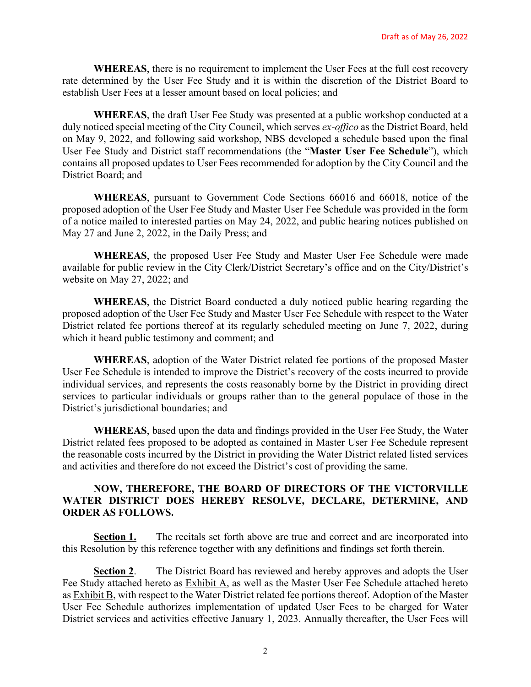**WHEREAS**, there is no requirement to implement the User Fees at the full cost recovery rate determined by the User Fee Study and it is within the discretion of the District Board to establish User Fees at a lesser amount based on local policies; and

**WHEREAS**, the draft User Fee Study was presented at a public workshop conducted at a duly noticed special meeting of the City Council, which serves *ex-offico* as the District Board, held on May 9, 2022, and following said workshop, NBS developed a schedule based upon the final User Fee Study and District staff recommendations (the "**Master User Fee Schedule**"), which contains all proposed updates to User Fees recommended for adoption by the City Council and the District Board; and

**WHEREAS**, pursuant to Government Code Sections 66016 and 66018, notice of the proposed adoption of the User Fee Study and Master User Fee Schedule was provided in the form of a notice mailed to interested parties on May 24, 2022, and public hearing notices published on May 27 and June 2, 2022, in the Daily Press; and

**WHEREAS**, the proposed User Fee Study and Master User Fee Schedule were made available for public review in the City Clerk/District Secretary's office and on the City/District's website on May 27, 2022; and

**WHEREAS**, the District Board conducted a duly noticed public hearing regarding the proposed adoption of the User Fee Study and Master User Fee Schedule with respect to the Water District related fee portions thereof at its regularly scheduled meeting on June 7, 2022, during which it heard public testimony and comment; and

**WHEREAS**, adoption of the Water District related fee portions of the proposed Master User Fee Schedule is intended to improve the District's recovery of the costs incurred to provide individual services, and represents the costs reasonably borne by the District in providing direct services to particular individuals or groups rather than to the general populace of those in the District's jurisdictional boundaries; and

**WHEREAS**, based upon the data and findings provided in the User Fee Study, the Water District related fees proposed to be adopted as contained in Master User Fee Schedule represent the reasonable costs incurred by the District in providing the Water District related listed services and activities and therefore do not exceed the District's cost of providing the same.

### **NOW, THEREFORE, THE BOARD OF DIRECTORS OF THE VICTORVILLE WATER DISTRICT DOES HEREBY RESOLVE, DECLARE, DETERMINE, AND ORDER AS FOLLOWS.**

**Section 1.** The recitals set forth above are true and correct and are incorporated into this Resolution by this reference together with any definitions and findings set forth therein.

**Section 2.** The District Board has reviewed and hereby approves and adopts the User Fee Study attached hereto as Exhibit A, as well as the Master User Fee Schedule attached hereto as Exhibit B, with respect to the Water District related fee portions thereof. Adoption of the Master User Fee Schedule authorizes implementation of updated User Fees to be charged for Water District services and activities effective January 1, 2023. Annually thereafter, the User Fees will

2